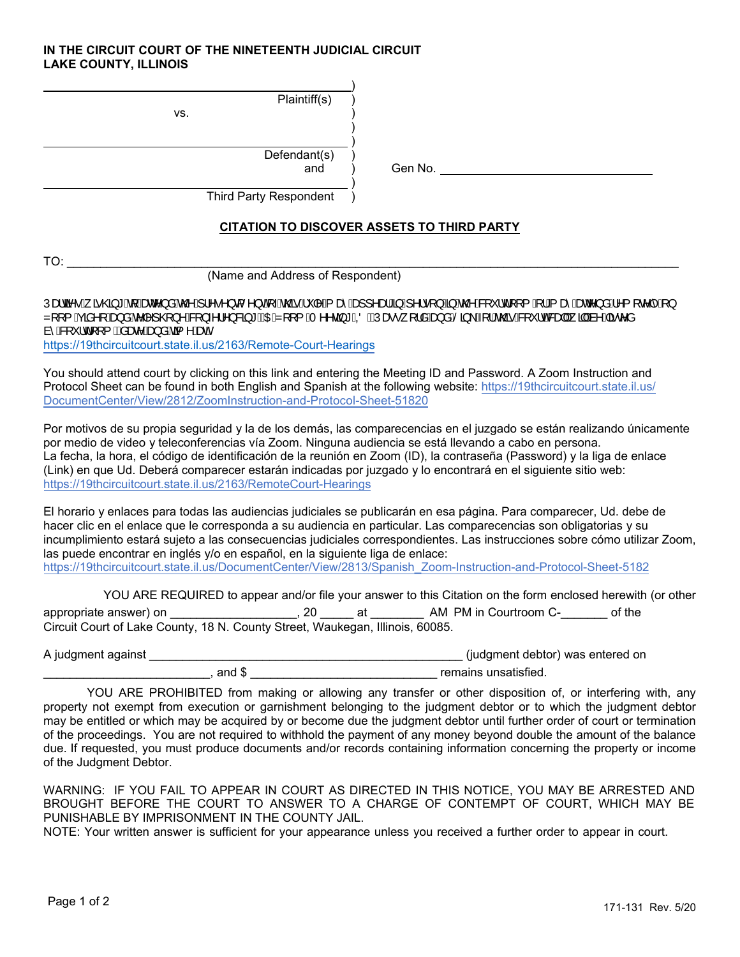## **IN THE CIRCUIT COURT OF THE NINETEENTH JUDICIAL CIRCUIT LAKE COUNTY, ILLINOIS**

| Plaintiff(s)<br>VS.           |         |
|-------------------------------|---------|
| Defendant(s)<br>and           | Gen No. |
| <b>Third Party Respondent</b> |         |

## **CITATION TO DISCOVER ASSETS TO THIRD PARTY**

| -- |  |
|----|--|
|    |  |

(Name and Address of Respondent)

 $\Delta$  3Dublem values of  $\mathcal{A}_k$  and  $\mathcal{A}_k$  and  $\mathcal{A}_k$  and  $\mathcal{A}_k$  and  $\mathcal{A}_k$  and  $\mathcal{A}_k$  and  $\mathcal{A}_k$  and  $\mathcal{A}_k$  and  $\mathcal{A}_k$  and  $\mathcal{A}_k$  and  $\mathcal{A}_k$  and  $\mathcal{A}_k$  and  $\mathcal{A}_k$  and  $\mathcal{A}_k$  and  $\$ Z[[{Asian[Ag a Ar n] @} n Ag } n 1 n } & 3 \* EXOEZ[[{A n n @ + AOEN as \* [|a Ag a AS ] \A | A @ Ag " | o & al A 3 | A + A a c a a<sup>\*</sup>A&q \* id[[{ BAsane Aso} a Asq ^ AsneK https://19thcircuitcourt.state.il.us/2163/Remote-Court-Hearings

You should attend court by clicking on this link and entering the Meeting ID and Password. A Zoom Instruction and Protocol Sheet can be found in both English and Spanish at the following website: https://19thcircuitcourt.state.il.us/ DocumentCenter/View/2812/ZoomInstruction-and-Protocol-Sheet-51820

Por motivos de su propia seguridad y la de los demás, las comparecencias en el juzgado se están realizando únicamente por medio de video y teleconferencias vía Zoom. Ninguna audiencia se está llevando a cabo en persona. La fecha, la hora, el código de identificación de la reunión en Zoom (ID), la contraseña (Password) y la liga de enlace (Link) en que Ud. Deberá comparecer estarán indicadas por juzgado y lo encontrará en el siguiente sitio web: https://19thcircuitcourt.state.il.us/2163/RemoteCourt-Hearings

El horario y enlaces para todas las audiencias judiciales se publicarán en esa página. Para comparecer, Ud. debe de hacer clic en el enlace que le corresponda a su audiencia en particular. Las comparecencias son obligatorias y su incumplimiento estará sujeto a las consecuencias judiciales correspondientes. Las instrucciones sobre cómo utilizar Zoom, las puede encontrar en inglés y/o en español, en la siguiente liga de enlace: https://19thcircuitcourt.state.il.us/DocumentCenter/View/2813/Spanish\_Zoom-Instruction-and-Protocol-Sheet-5182

YOU ARE REQUIRED to appear and/or file your answer to this Citation on the form enclosed herewith (or other appropriate answer) on \_\_\_\_\_\_\_\_\_\_\_\_\_\_\_\_\_\_, 20 \_\_\_\_\_\_ at \_\_\_\_\_\_\_\_\_ AM PM in Courtroom C-\_\_\_\_\_\_\_ of the Circuit Court of Lake County, 18 N. County Street, Waukegan, Illinois, 60085.

A judgment against \_\_\_\_\_\_\_\_\_\_\_\_\_\_\_\_\_\_\_\_\_\_\_\_\_\_\_\_\_\_\_\_\_\_\_\_\_\_\_\_\_\_\_\_\_\_\_ (judgment debtor) was entered on density and  $\oint$  and  $\oint$  is the set of the set of the set of the set of the set of the set of the set of the set of the set of the set of the set of the set of the set of the set of the set of the set of the set of the se

YOU ARE PROHIBITED from making or allowing any transfer or other disposition of, or interfering with, any property not exempt from execution or garnishment belonging to the judgment debtor or to which the judgment debtor may be entitled or which may be acquired by or become due the judgment debtor until further order of court or termination of the proceedings. You are not required to withhold the payment of any money beyond double the amount of the balance due. If requested, you must produce documents and/or records containing information concerning the property or income of the Judgment Debtor.

WARNING: IF YOU FAIL TO APPEAR IN COURT AS DIRECTED IN THIS NOTICE, YOU MAY BE ARRESTED AND BROUGHT BEFORE THE COURT TO ANSWER TO A CHARGE OF CONTEMPT OF COURT, WHICH MAY BE PUNISHABLE BY IMPRISONMENT IN THE COUNTY JAIL.

NOTE: Your written answer is sufficient for your appearance unless you received a further order to appear in court.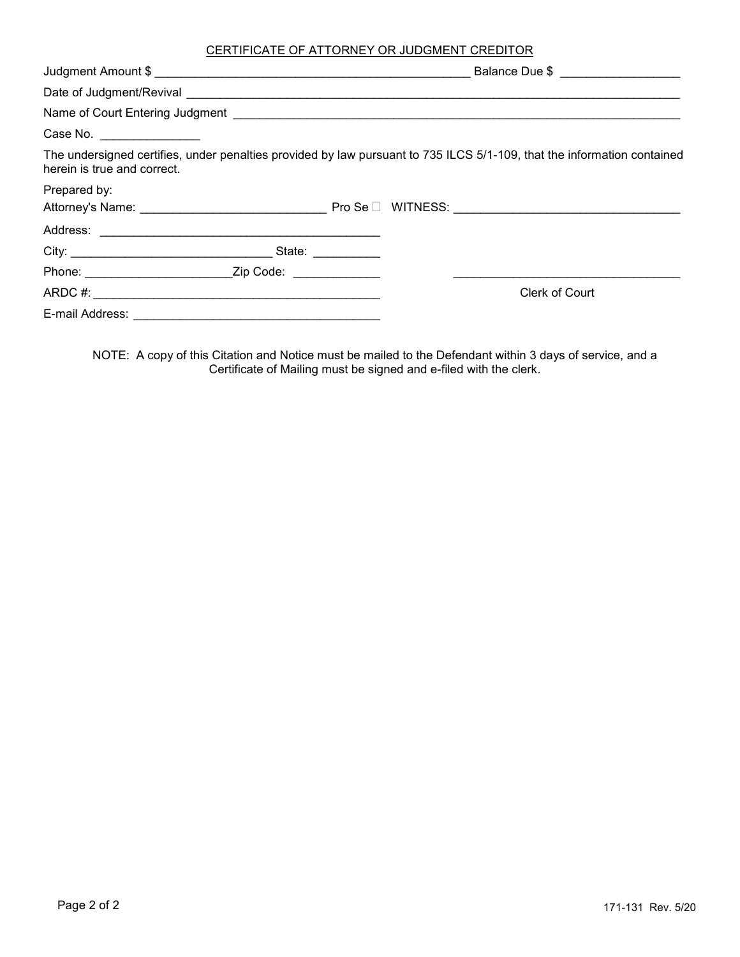## CERTIFICATE OF ATTORNEY OR JUDGMENT CREDITOR

|                             |  | Balance Due \$ ____________________                                                                                     |
|-----------------------------|--|-------------------------------------------------------------------------------------------------------------------------|
|                             |  |                                                                                                                         |
|                             |  |                                                                                                                         |
| Case No. _________________  |  |                                                                                                                         |
| herein is true and correct. |  | The undersigned certifies, under penalties provided by law pursuant to 735 ILCS 5/1-109, that the information contained |
| Prepared by:                |  |                                                                                                                         |
|                             |  |                                                                                                                         |
|                             |  |                                                                                                                         |
|                             |  |                                                                                                                         |
|                             |  |                                                                                                                         |
|                             |  | Clerk of Court                                                                                                          |
|                             |  |                                                                                                                         |

NOTE: A copy of this Citation and Notice must be mailed to the Defendant within 3 days of service, and a Certificate of Mailing must be signed and e-filed with the clerk.